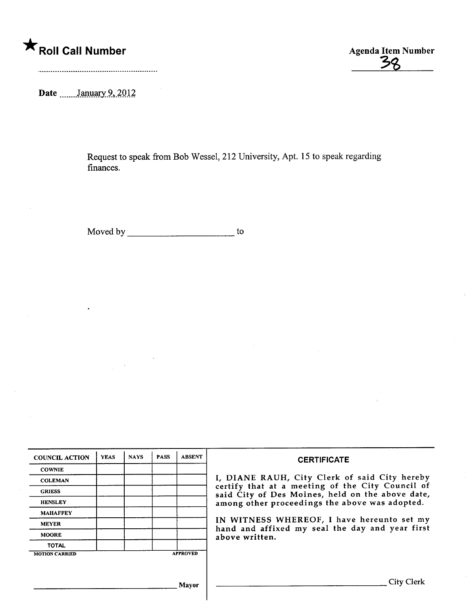## \* Roll Call Number Agenda Item Number

3~

Date  $\frac{\text{January } 9, 2012}{\text{?}}$ 

Request to speak from Bob Wessel, 212 University, Apt. 15 to speak regarding finances.

Moved by to the state of the state of the state of the state of the state of the state of the state of the state of the state of the state of the state of the state of the state of the state of the state of the state of th

| <b>COUNCIL ACTION</b> | <b>YEAS</b> | <b>NAYS</b> | <b>PASS</b> | <b>ABSENT</b>   | <b>CERTIFICATE</b>                                                                                                                                                                                      |  |
|-----------------------|-------------|-------------|-------------|-----------------|---------------------------------------------------------------------------------------------------------------------------------------------------------------------------------------------------------|--|
| <b>COWNIE</b>         |             |             |             |                 |                                                                                                                                                                                                         |  |
| <b>COLEMAN</b>        |             |             |             |                 | I, DIANE RAUH, City Clerk of said City hereby<br>certify that at a meeting of the City Council of<br>said City of Des Moines, held on the above date,<br>among other proceedings the above was adopted. |  |
| <b>GRIESS</b>         |             |             |             |                 |                                                                                                                                                                                                         |  |
| <b>HENSLEY</b>        |             |             |             |                 |                                                                                                                                                                                                         |  |
| <b>MAHAFFEY</b>       |             |             |             |                 |                                                                                                                                                                                                         |  |
| <b>MEYER</b>          |             |             |             |                 | IN WITNESS WHEREOF, I have hereunto set my                                                                                                                                                              |  |
| <b>MOORE</b>          |             |             |             |                 | hand and affixed my seal the day and year first<br>above written.                                                                                                                                       |  |
| <b>TOTAL</b>          |             |             |             |                 |                                                                                                                                                                                                         |  |
| <b>MOTION CARRIED</b> |             |             |             | <b>APPROVED</b> |                                                                                                                                                                                                         |  |
|                       |             |             |             |                 |                                                                                                                                                                                                         |  |
|                       |             |             |             | Mavor           | City Clerk                                                                                                                                                                                              |  |